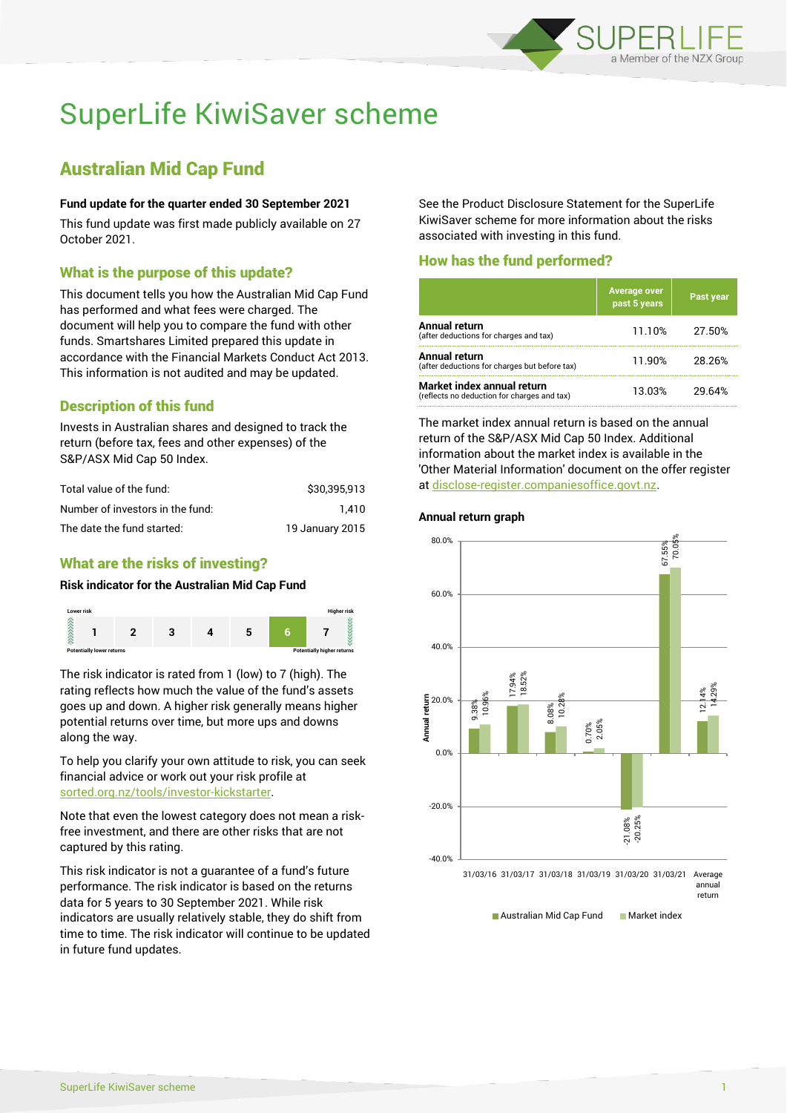

# SuperLife KiwiSaver scheme

# Australian Mid Cap Fund

### **Fund update for the quarter ended 30 September 2021**

This fund update was first made publicly available on 27 October 2021.

# What is the purpose of this update?

This document tells you how the Australian Mid Cap Fund has performed and what fees were charged. The document will help you to compare the fund with other funds. Smartshares Limited prepared this update in accordance with the Financial Markets Conduct Act 2013. This information is not audited and may be updated.

# Description of this fund

Invests in Australian shares and designed to track the return (before tax, fees and other expenses) of the S&P/ASX Mid Cap 50 Index.

| Total value of the fund:         | \$30.395.913    |
|----------------------------------|-----------------|
| Number of investors in the fund: | 1.410           |
| The date the fund started:       | 19 January 2015 |

# What are the risks of investing?

## **Risk indicator for the Australian Mid Cap Fund**



The risk indicator is rated from 1 (low) to 7 (high). The rating reflects how much the value of the fund's assets goes up and down. A higher risk generally means higher potential returns over time, but more ups and downs along the way.

To help you clarify your own attitude to risk, you can seek financial advice or work out your risk profile at [sorted.org.nz/tools/investor-kickstarter.](http://www.sorted.org.nz/tools/investor-kickstarter)

Note that even the lowest category does not mean a riskfree investment, and there are other risks that are not captured by this rating.

This risk indicator is not a guarantee of a fund's future performance. The risk indicator is based on the returns data for 5 years to 30 September 2021. While risk indicators are usually relatively stable, they do shift from time to time. The risk indicator will continue to be updated in future fund updates.

See the Product Disclosure Statement for the SuperLife KiwiSaver scheme for more information about the risks associated with investing in this fund.

# How has the fund performed?

|                                                                           | <b>Average over</b><br>past 5 years | Past year |
|---------------------------------------------------------------------------|-------------------------------------|-----------|
| Annual return<br>(after deductions for charges and tax)                   | 11.10%                              | 27.50%    |
| Annual return<br>(after deductions for charges but before tax)            | 11.90%                              | 28.26%    |
| Market index annual return<br>(reflects no deduction for charges and tax) | 13.03%                              | 29.64%    |

The market index annual return is based on the annual return of the S&P/ASX Mid Cap 50 Index. Additional information about the market index is available in the 'Other Material Information' document on the offer register at [disclose-register.companiesoffice.govt.nz.](http://www.disclose-register.companiesoffice.govt.nz/)

#### **Annual return graph**



Australian Mid Cap Fund Market index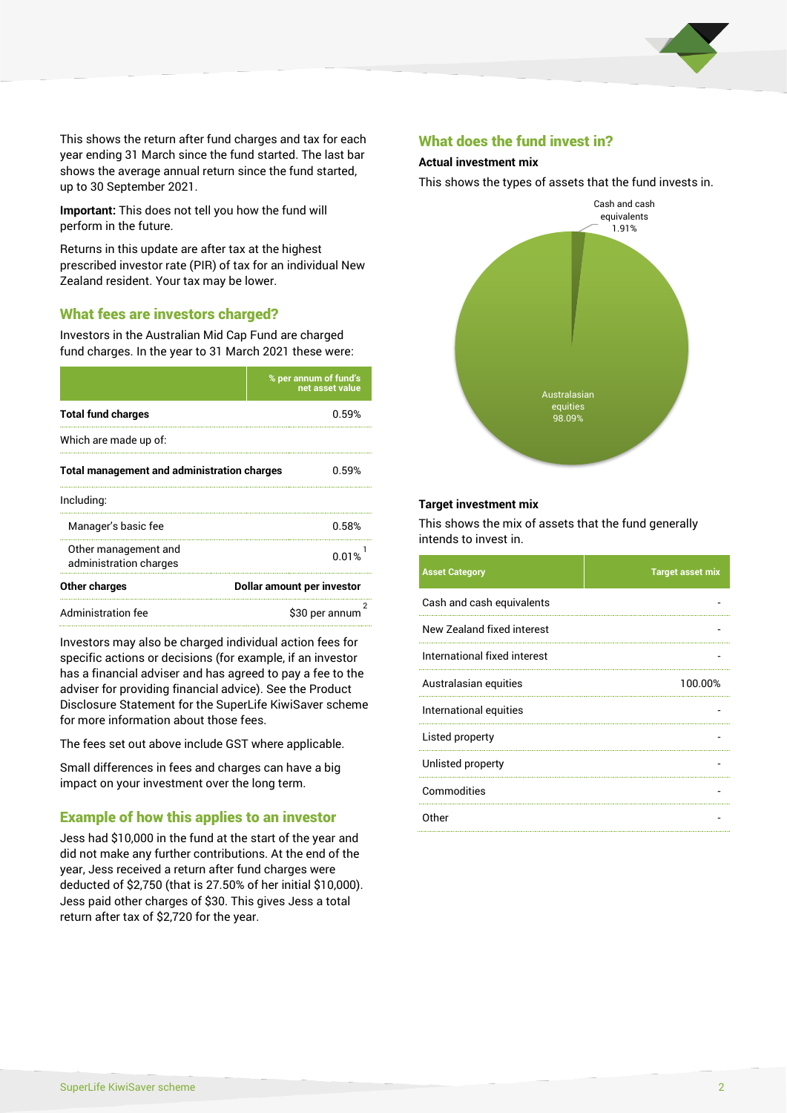

This shows the return after fund charges and tax for each year ending 31 March since the fund started. The last bar shows the average annual return since the fund started, up to 30 September 2021.

**Important:** This does not tell you how the fund will perform in the future.

Returns in this update are after tax at the highest prescribed investor rate (PIR) of tax for an individual New Zealand resident. Your tax may be lower.

# What fees are investors charged?

Investors in the Australian Mid Cap Fund are charged fund charges. In the year to 31 March 2021 these were:

|                                                    | % per annum of fund's<br>net asset value |  |
|----------------------------------------------------|------------------------------------------|--|
| <b>Total fund charges</b>                          | 0.59%                                    |  |
| Which are made up of:                              |                                          |  |
| <b>Total management and administration charges</b> | 0.59%                                    |  |
| Including:                                         |                                          |  |
| Manager's basic fee                                | 0.58%                                    |  |
| Other management and<br>administration charges     | 0.01%                                    |  |
| Other charges                                      | Dollar amount per investor               |  |
| Administration fee                                 | \$30 per annum                           |  |

Investors may also be charged individual action fees for specific actions or decisions (for example, if an investor has a financial adviser and has agreed to pay a fee to the adviser for providing financial advice). See the Product Disclosure Statement for the SuperLife KiwiSaver scheme for more information about those fees.

The fees set out above include GST where applicable.

Small differences in fees and charges can have a big impact on your investment over the long term.

# Example of how this applies to an investor

Jess had \$10,000 in the fund at the start of the year and did not make any further contributions. At the end of the year, Jess received a return after fund charges were deducted of \$2,750 (that is 27.50% of her initial \$10,000). Jess paid other charges of \$30. This gives Jess a total return after tax of \$2,720 for the year.

#### What does the fund invest in?

### **Actual investment mix**

This shows the types of assets that the fund invests in.



#### **Target investment mix**

This shows the mix of assets that the fund generally intends to invest in.

| <b>Asset Category</b>        | <b>Target asset mix</b> |
|------------------------------|-------------------------|
| Cash and cash equivalents    |                         |
| New Zealand fixed interest   |                         |
| International fixed interest |                         |
| Australasian equities        | 100.00%                 |
| International equities       |                         |
| Listed property              |                         |
| Unlisted property            |                         |
| Commodities                  |                         |
| Other                        |                         |